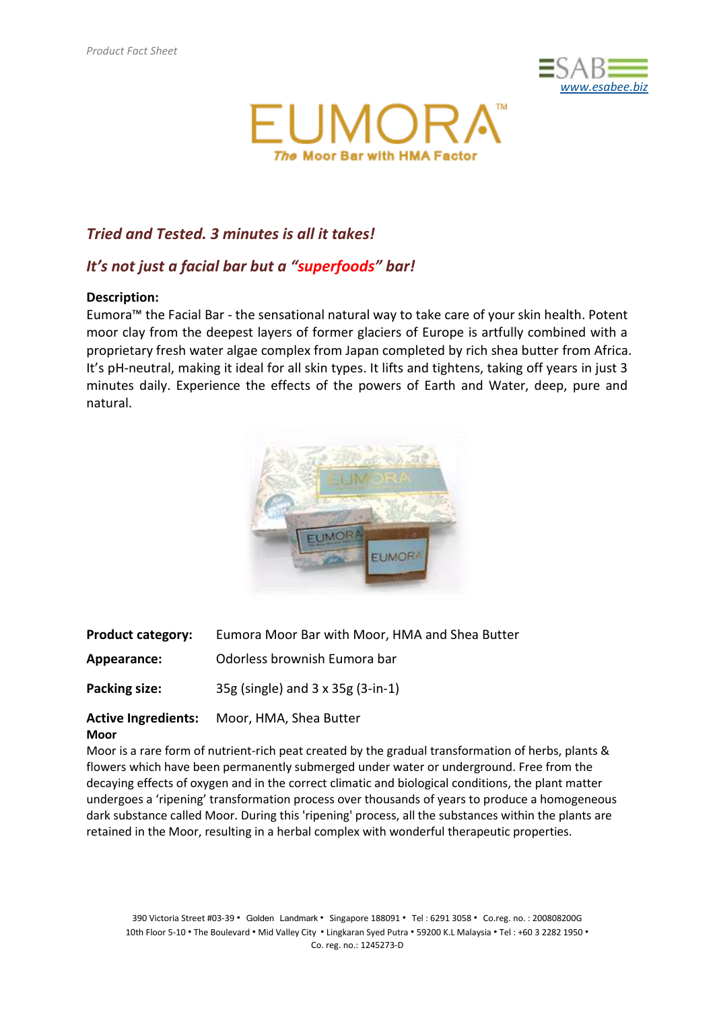



# *Tried and Tested. 3 minutes is all it takes!*

# *It's not just a facial bar but a "superfoods" bar!*

## **Description:**

Eumora™ the Facial Bar - the sensational natural way to take care of your skin health. Potent moor clay from the deepest layers of former glaciers of Europe is artfully combined with a proprietary fresh water algae complex from Japan completed by rich shea butter from Africa. It's pH-neutral, making it ideal for all skin types. It lifts and tightens, taking off years in just 3 minutes daily. Experience the effects of the powers of Earth and Water, deep, pure and natural.



| <b>Product category:</b> | Eumora Moor Bar with Moor, HMA and Shea Butter |
|--------------------------|------------------------------------------------|
| Appearance:              | Odorless brownish Eumora bar                   |
| Packing size:            | 35g (single) and 3 x 35g (3-in-1)              |

#### **Active Ingredients:** Moor, HMA, Shea Butter **Moor**

Moor is a rare form of nutrient-rich peat created by the gradual transformation of herbs, plants & flowers which have been permanently submerged under water or underground. Free from the decaying effects of oxygen and in the correct climatic and biological conditions, the plant matter undergoes a 'ripening' transformation process over thousands of years to produce a homogeneous dark substance called Moor. During this 'ripening' process, all the substances within the plants are retained in the Moor, resulting in a herbal complex with wonderful therapeutic properties.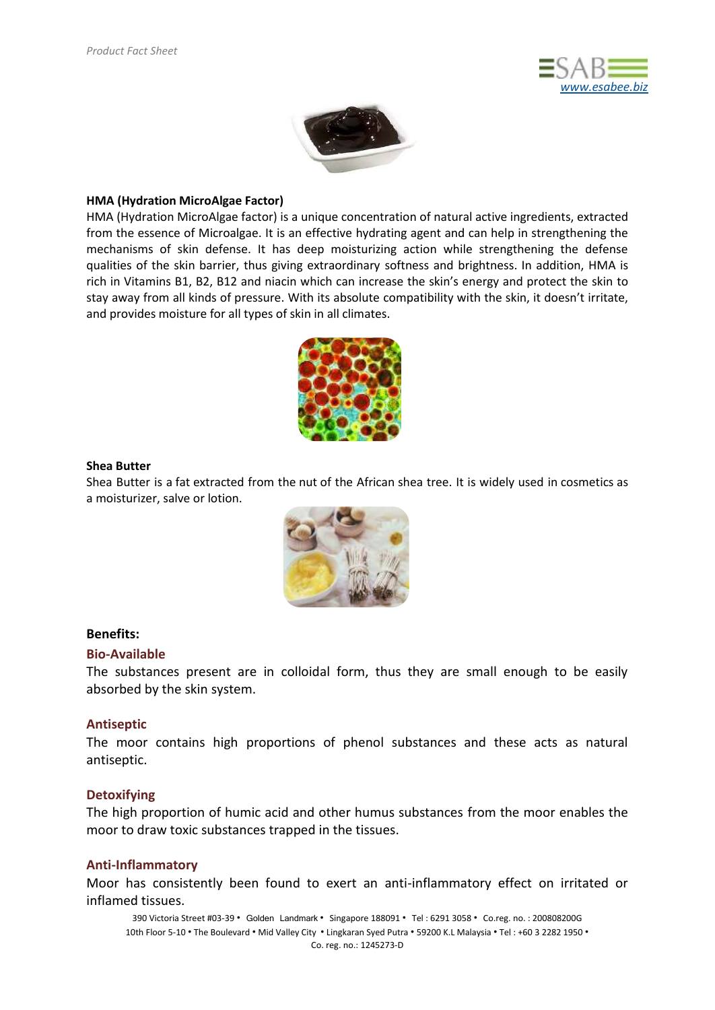



## **HMA (Hydration MicroAlgae Factor)**

HMA (Hydration MicroAlgae factor) is a unique concentration of natural active ingredients, extracted from the essence of Microalgae. It is an effective hydrating agent and can help in strengthening the mechanisms of skin defense. It has deep moisturizing action while strengthening the defense qualities of the skin barrier, thus giving extraordinary softness and brightness. In addition, HMA is rich in Vitamins B1, B2, B12 and niacin which can increase the skin's energy and protect the skin to stay away from all kinds of pressure. With its absolute compatibility with the skin, it doesn't irritate, and provides moisture for all types of skin in all climates.



### **Shea Butter**

Shea Butter is a [fat](https://en.wikipedia.org/wiki/Fat) extracted from the [nut](https://en.wikipedia.org/wiki/Nut_(fruit)) of the African [shea tree.](https://en.wikipedia.org/wiki/Shea_tree) It is widely used in [cosmetics](https://en.wikipedia.org/wiki/Cosmetics) as a [moisturizer,](https://en.wikipedia.org/wiki/Moisturizer) [salve](https://en.wikipedia.org/wiki/Salve) or [lotion.](https://en.wikipedia.org/wiki/Lotion)



## **Benefits:**

#### **Bio-Available**

The substances present are in colloidal form, thus they are small enough to be easily absorbed by the skin system.

## **Antiseptic**

The moor contains high proportions of phenol substances and these acts as natural antiseptic.

## **Detoxifying**

The high proportion of humic acid and other humus substances from the moor enables the moor to draw toxic substances trapped in the tissues.

## **Anti-Inflammatory**

Moor has consistently been found to exert an anti-inflammatory effect on irritated or inflamed tissues.

390 Victoria Street #03-39 · Golden Landmark · Singapore 188091 · Tel : 6291 3058 · Co.reg. no. : 200808200G 10th Floor 5-10 · The Boulevard · Mid Valley City · Lingkaran Syed Putra · 59200 K.L Malaysia · Tel : +60 3 2282 1950 · Co. reg. no.: 1245273-D